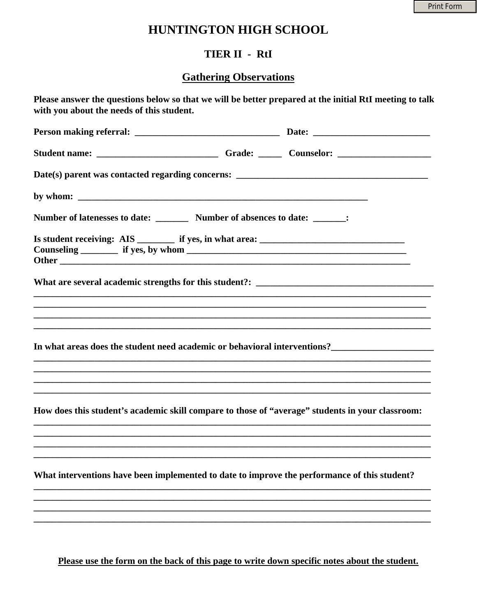## HUNTINGTON HIGH SCHOOL

## TIER II - RtI

## **Gathering Observations**

| by whom: $\frac{1}{2}$ by whom:                                                   |                                                                                                                                                                                                                                                    |
|-----------------------------------------------------------------------------------|----------------------------------------------------------------------------------------------------------------------------------------------------------------------------------------------------------------------------------------------------|
| Number of latenesses to date: _________ Number of absences to date: _______:      |                                                                                                                                                                                                                                                    |
| Is student receiving: AIS ________ if yes, in what area: ________________________ |                                                                                                                                                                                                                                                    |
|                                                                                   |                                                                                                                                                                                                                                                    |
|                                                                                   | ,我们也不会有什么。""我们的人,我们也不会有什么?""我们的人,我们也不会有什么?""我们的人,我们也不会有什么?""我们的人,我们也不会有什么?""我们的人                                                                                                                                                                   |
|                                                                                   |                                                                                                                                                                                                                                                    |
|                                                                                   | In what areas does the student need academic or behavioral interventions?<br><u>In what areas does the student need academic or behavioral interventions?</u><br>,我们也不能在这里的时候,我们也不能在这里的时候,我们也不能会在这里的时候,我们也不能会在这里的时候,我们也不能会在这里的时候,我们也不能会在这里的时候,我们也不 |
|                                                                                   |                                                                                                                                                                                                                                                    |
|                                                                                   |                                                                                                                                                                                                                                                    |
|                                                                                   | How does this student's academic skill compare to those of "average" students in your classroom:                                                                                                                                                   |
|                                                                                   |                                                                                                                                                                                                                                                    |
|                                                                                   |                                                                                                                                                                                                                                                    |
|                                                                                   | What interventions have been implemented to date to improve the performance of this student?                                                                                                                                                       |
|                                                                                   |                                                                                                                                                                                                                                                    |

Please use the form on the back of this page to write down specific notes about the student.